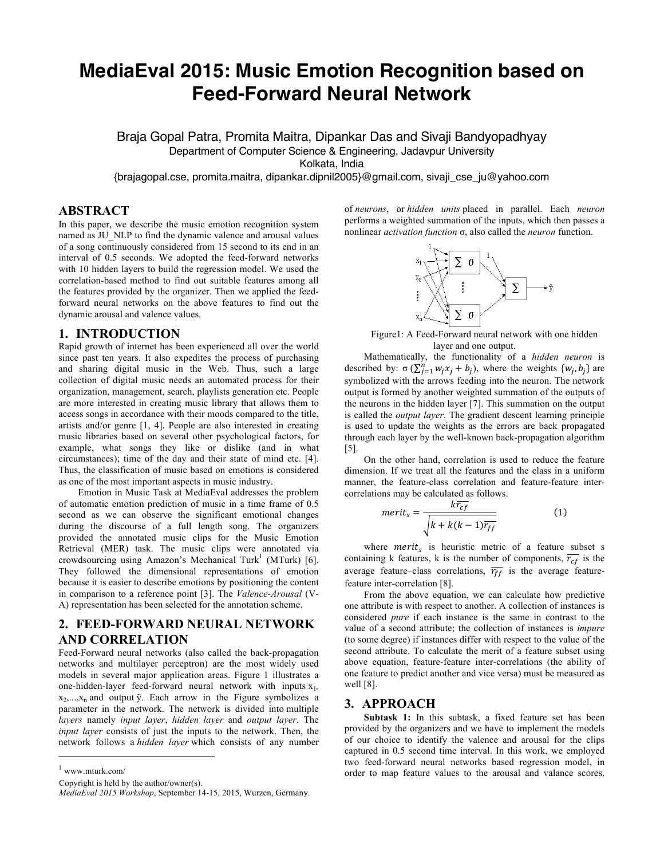# **MediaEval 2015: Music Emotion Recognition based on Feed-Forward Neural Network**

Braja Gopal Patra, Promita Maitra, Dipankar Das and Sivaji Bandyopadhyay Department of Computer Science & Engineering, Jadavpur University Kolkata, India

{brajagopal.cse, promita.maitra, dipankar.dipnil2005}@gmail.com, sivaji\_cse\_ju@yahoo.com

# **ABSTRACT**

In this paper, we describe the music emotion recognition system named as JU\_NLP to find the dynamic valence and arousal values of a song continuously considered from 15 second to its end in an interval of 0.5 seconds. We adopted the feed-forward networks with 10 hidden layers to build the regression model. We used the correlation-based method to find out suitable features among all the features provided by the organizer. Then we applied the feedforward neural networks on the above features to find out the dynamic arousal and valence values.

## **1. INTRODUCTION**

Rapid growth of internet has been experienced all over the world since past ten years. It also expedites the process of purchasing and sharing digital music in the Web. Thus, such a large collection of digital music needs an automated process for their organization, management, search, playlists generation etc. People are more interested in creating music library that allows them to access songs in accordance with their moods compared to the title, artists and/or genre [1, 4]. People are also interested in creating music libraries based on several other psychological factors, for example, what songs they like or dislike (and in what circumstances); time of the day and their state of mind etc. [4]. Thus, the classification of music based on emotions is considered as one of the most important aspects in music industry.

Emotion in Music Task at MediaEval addresses the problem of automatic emotion prediction of music in a time frame of 0.5 second as we can observe the significant emotional changes during the discourse of a full length song. The organizers provided the annotated music clips for the Music Emotion Retrieval (MER) task. The music clips were annotated via crowdsourcing using Amazon's Mechanical Turk<sup>1</sup> (MTurk) [6]. They followed the dimensional representations of emotion because it is easier to describe emotions by positioning the content in comparison to a reference point [3]. The *Valence-Arousal* (V-A) representation has been selected for the annotation scheme.

# **2. FEED-FORWARD NEURAL NETWORK AND CORRELATION**

Feed-Forward neural networks (also called the back-propagation networks and multilayer perceptron) are the most widely used models in several major application areas. Figure 1 illustrates a one-hidden-layer feed-forward neural network with inputs  $x_1$ ,  $x_2,...,x_n$  and output  $\tilde{y}$ . Each arrow in the Figure symbolizes a parameter in the network. The network is divided into multiple *layers* namely *input layer*, *hidden layer* and *output layer*. The *input layer* consists of just the inputs to the network. Then, the network follows a *hidden layer* which consists of any number

www.mturk.com/

j

Copyright is held by the author/owner(s).

of *neurons*, or *hidden units* placed in parallel. Each *neuron* performs a weighted summation of the inputs, which then passes a nonlinear *activation function* σ, also called the *neuron* function.



Figure1: A Feed-Forward neural network with one hidden layer and one output.

Mathematically, the functionality of a *hidden neuron* is described by:  $\sigma(\sum_{j=1}^n w_j x_j + b_j)$ , where the weights  $\{w_j, b_j\}$  are symbolized with the arrows feeding into the neuron. The network output is formed by another weighted summation of the outputs of the neurons in the hidden layer [7]. This summation on the output is called the *output layer*. The gradient descent learning principle is used to update the weights as the errors are back propagated through each layer by the well-known back-propagation algorithm [5].

On the other hand, correlation is used to reduce the feature dimension. If we treat all the features and the class in a uniform manner, the feature-class correlation and feature-feature intercorrelations may be calculated as follows.

$$
merit_s = \frac{k\overline{r_{cf}}}{\sqrt{k + k(k-1)\overline{r_{ff}}}}
$$
(1)

where  $merit<sub>s</sub>$  is heuristic metric of a feature subset s containing k features, k is the number of components,  $\overline{r_{cf}}$  is the average feature–class correlations,  $\overline{r_{ff}}$  is the average featurefeature inter-correlation [8].

From the above equation, we can calculate how predictive one attribute is with respect to another. A collection of instances is considered *pure* if each instance is the same in contrast to the value of a second attribute; the collection of instances is *impure* (to some degree) if instances differ with respect to the value of the second attribute. To calculate the merit of a feature subset using above equation, feature-feature inter-correlations (the ability of one feature to predict another and vice versa) must be measured as well [8].

#### **3. APPROACH**

**Subtask 1:** In this subtask, a fixed feature set has been provided by the organizers and we have to implement the models of our choice to identify the valence and arousal for the clips captured in 0.5 second time interval. In this work, we employed two feed-forward neural networks based regression model, in order to map feature values to the arousal and valance scores.

*MediaEval 2015 Workshop*, September 14-15, 2015, Wurzen, Germany.